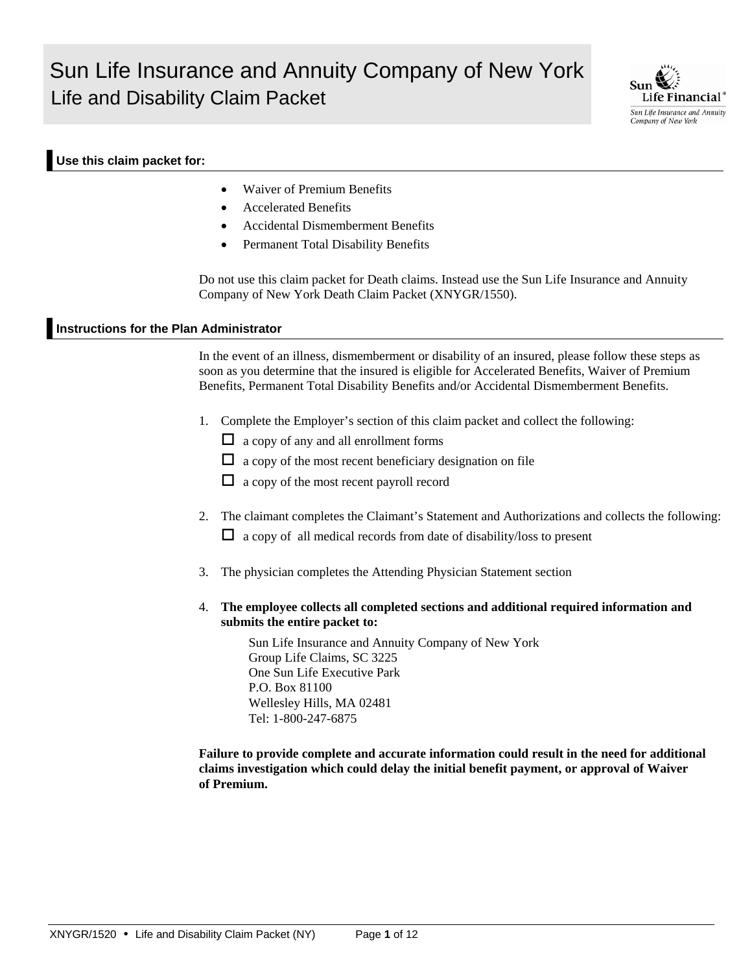# Sun Life Insurance and Annuity Company of New York Life and Disability Claim Packet



#### **Use this claim packet for:**

- Waiver of Premium Benefits
- Accelerated Benefits
- Accidental Dismemberment Benefits
- Permanent Total Disability Benefits

Do not use this claim packet for Death claims. Instead use the Sun Life Insurance and Annuity Company of New York Death Claim Packet (XNYGR/1550).

#### **Instructions for the Plan Administrator**

In the event of an illness, dismemberment or disability of an insured, please follow these steps as soon as you determine that the insured is eligible for Accelerated Benefits, Waiver of Premium Benefits, Permanent Total Disability Benefits and/or Accidental Dismemberment Benefits.

- 1. Complete the Employer's section of this claim packet and collect the following:
	- $\Box$  a copy of any and all enrollment forms
	- $\Box$  a copy of the most recent beneficiary designation on file
	- $\Box$  a copy of the most recent payroll record
- 2. The claimant completes the Claimant's Statement and Authorizations and collects the following:  $\Box$  a copy of all medical records from date of disability/loss to present
- 3. The physician completes the Attending Physician Statement section
- 4. **The employee collects all completed sections and additional required information and submits the entire packet to:**

 Sun Life Insurance and Annuity Company of New York Group Life Claims, SC 3225 One Sun Life Executive Park P.O. Box 81100 Wellesley Hills, MA 02481 Tel: 1-800-247-6875

**Failure to provide complete and accurate information could result in the need for additional claims investigation which could delay the initial benefit payment, or approval of Waiver of Premium.**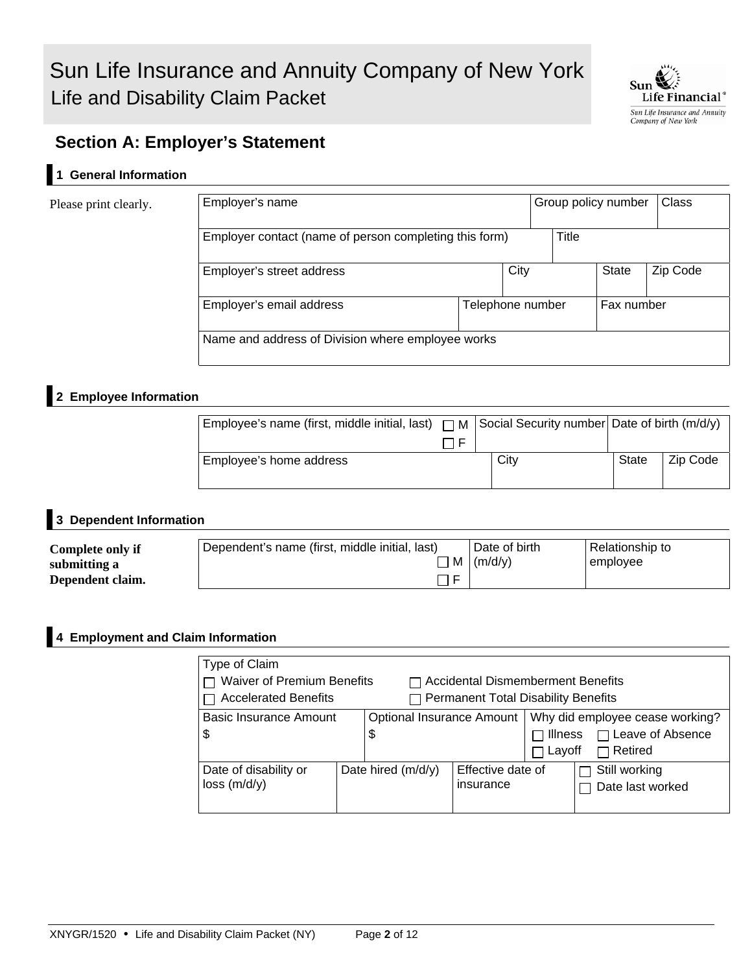

# **Section A: Employer's Statement**

## **1 General Information**

Please print clearly.

| Employer's name                                        |  |      | Group policy number |       |            | Class    |
|--------------------------------------------------------|--|------|---------------------|-------|------------|----------|
| Employer contact (name of person completing this form) |  |      |                     | Title |            |          |
| Employer's street address                              |  | City |                     |       | State      | Zip Code |
| Employer's email address<br>Telephone number           |  |      |                     |       | Fax number |          |
| Name and address of Division where employee works      |  |      |                     |       |            |          |

# **2 Employee Information**

| Employee's name (first, middle initial, last) $\Box M$ Social Security number Date of birth (m/d/y) |      |       |          |
|-----------------------------------------------------------------------------------------------------|------|-------|----------|
| Employee's home address                                                                             | City | State | Zip Code |

### **3 Dependent Information**

| Complete only if | Dependent's name (first, middle initial, last) | Date of birth              | Relationship to |
|------------------|------------------------------------------------|----------------------------|-----------------|
| submitting a     |                                                | $\mid M \mid (m/d/y) \mid$ | employee        |
| Dependent claim. | Έ                                              |                            |                 |

#### **4 Employment and Claim Information**

| Type of Claim<br>$\sqsupset$ Waiver of Premium Benefits<br>$\Box$ Accidental Dismemberment Benefits<br>□ Accelerated Benefits<br>$\Box$ Permanent Total Disability Benefits |  |                      |                                |                          |                                                                              |  |
|-----------------------------------------------------------------------------------------------------------------------------------------------------------------------------|--|----------------------|--------------------------------|--------------------------|------------------------------------------------------------------------------|--|
| Basic Insurance Amount<br><b>Optional Insurance Amount</b><br>\$<br>\$                                                                                                      |  |                      |                                | $\Box$ Illness<br>Layoff | Why did employee cease working?<br>$\Box$ Leave of Absence<br>$\Box$ Retired |  |
| Date of disability or<br>loss(m/d/y)                                                                                                                                        |  | Date hired $(m/d/y)$ | Effective date of<br>insurance |                          | Still working<br>Date last worked                                            |  |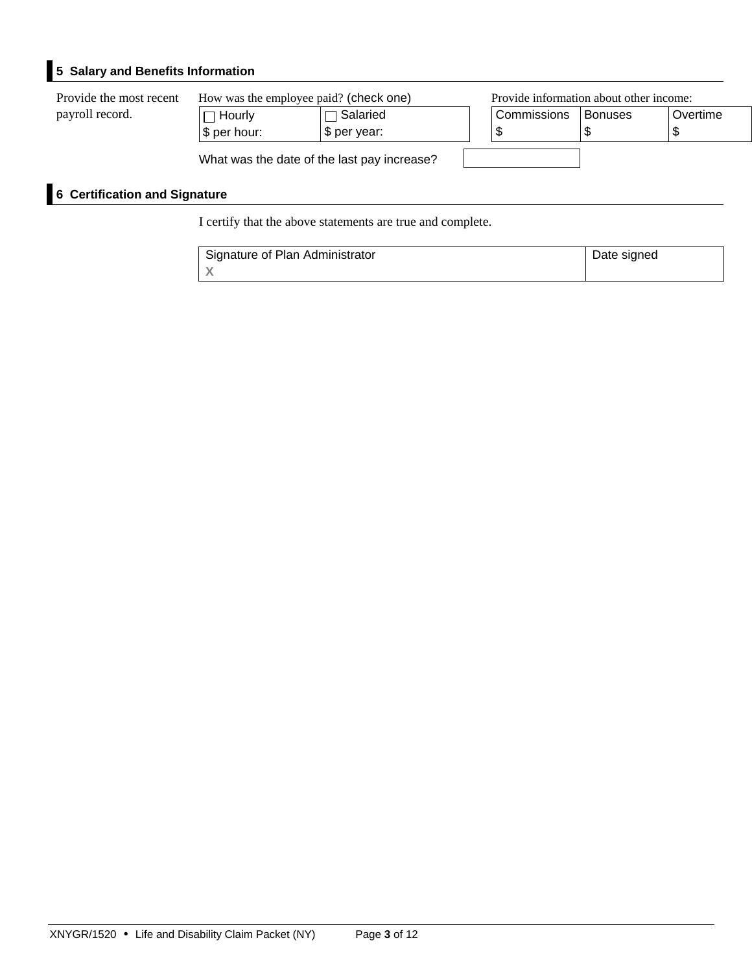# **5 Salary and Benefits Information**

| Provide the most recent | How was the employee paid? (check one)     |                                             |             | Provide information about other income: |          |  |
|-------------------------|--------------------------------------------|---------------------------------------------|-------------|-----------------------------------------|----------|--|
| payroll record.         | $\sqcap$ Hourlv .<br>$\sqrt{\$}$ per hour: | $\Box$ Salaried<br>\$ per year:             | Commissions | <b>Bonuses</b>                          | Overtime |  |
|                         |                                            | What was the date of the last pay increase? |             |                                         |          |  |

# **6 Certification and Signature**

I certify that the above statements are true and complete.

| Signature of Plan Administrator | Date signed |
|---------------------------------|-------------|
|                                 |             |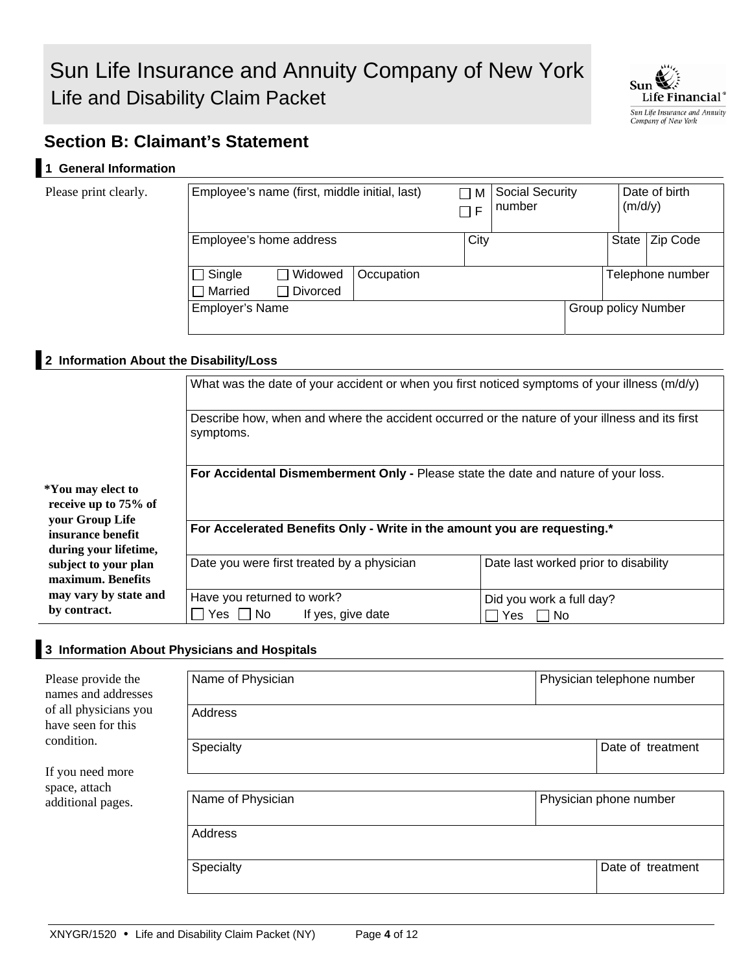

# **Section B: Claimant's Statement**

### **1 General Information**

Please print clearly.

| Employee's name (first, middle initial, last) |                 | M<br>F     | <b>Social Security</b><br>number |  | (m/d/y)                    | Date of birth |                  |
|-----------------------------------------------|-----------------|------------|----------------------------------|--|----------------------------|---------------|------------------|
| Employee's home address                       |                 |            | City                             |  |                            | <b>State</b>  | Zip Code         |
| $\Box$ Single                                 | $\Box$ Widowed  | Occupation |                                  |  |                            |               | Telephone number |
| $\Box$ Married                                | <b>Divorced</b> |            |                                  |  |                            |               |                  |
| <b>Employer's Name</b>                        |                 |            |                                  |  | <b>Group policy Number</b> |               |                  |

### **2 Information About the Disability/Loss**

|                                                               | What was the date of your accident or when you first noticed symptoms of your illness $(m/d/y)$<br>Describe how, when and where the accident occurred or the nature of your illness and its first<br>symptoms. |                                      |  |  |  |  |  |
|---------------------------------------------------------------|----------------------------------------------------------------------------------------------------------------------------------------------------------------------------------------------------------------|--------------------------------------|--|--|--|--|--|
|                                                               |                                                                                                                                                                                                                |                                      |  |  |  |  |  |
|                                                               | For Accidental Dismemberment Only - Please state the date and nature of your loss.                                                                                                                             |                                      |  |  |  |  |  |
| *You may elect to                                             |                                                                                                                                                                                                                |                                      |  |  |  |  |  |
| receive up to 75% of                                          |                                                                                                                                                                                                                |                                      |  |  |  |  |  |
| your Group Life<br>insurance benefit<br>during your lifetime, | For Accelerated Benefits Only - Write in the amount you are requesting.*                                                                                                                                       |                                      |  |  |  |  |  |
| subject to your plan<br>maximum. Benefits                     | Date you were first treated by a physician                                                                                                                                                                     | Date last worked prior to disability |  |  |  |  |  |
| may vary by state and                                         | Have you returned to work?                                                                                                                                                                                     | Did you work a full day?             |  |  |  |  |  |
| by contract.                                                  | Yes $\Box$ No<br>If yes, give date                                                                                                                                                                             | Yes     No                           |  |  |  |  |  |

#### **3 Information About Physicians and Hospitals**

| Please provide the<br>names and addresses   | Name of Physician |  | Physician telephone number |
|---------------------------------------------|-------------------|--|----------------------------|
| of all physicians you<br>have seen for this | Address           |  |                            |
| condition.                                  | Specialty         |  | Date of treatment          |
| If you need more<br>space, attach           |                   |  |                            |
| additional pages.                           | Name of Physician |  | Physician phone number     |
|                                             | Address           |  |                            |
|                                             | Specialty         |  | Date of treatment          |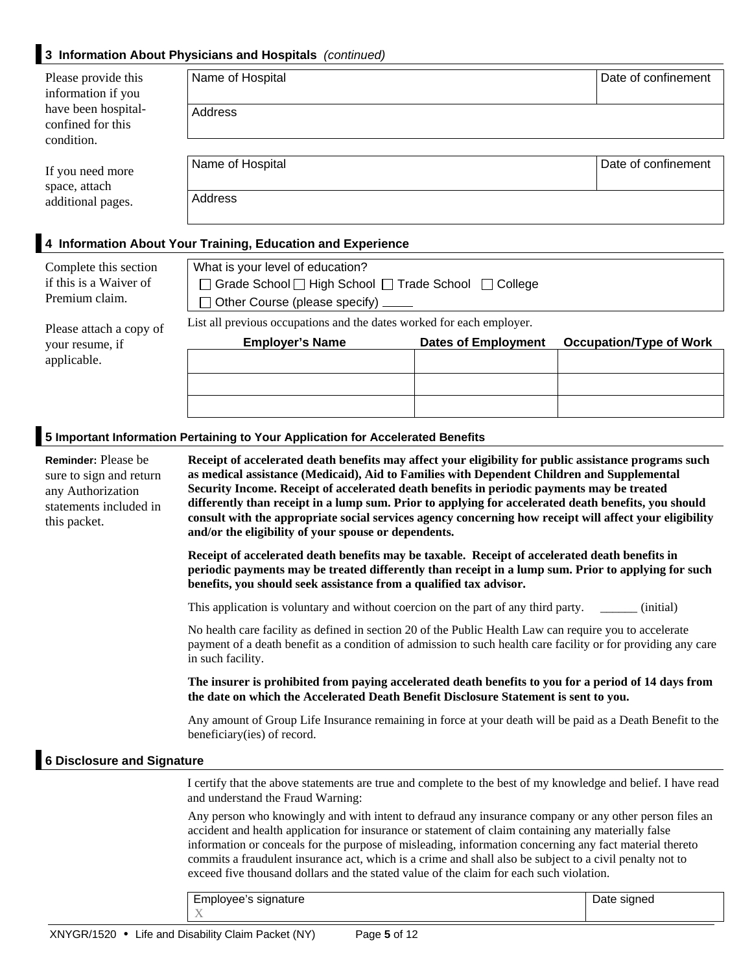## **3 Information About Physicians and Hospitals** *(continued)*

| Please provide this<br>information if you              | Name of Hospital                                                                | Date of confinement |  |  |  |  |
|--------------------------------------------------------|---------------------------------------------------------------------------------|---------------------|--|--|--|--|
| have been hospital-<br>confined for this<br>condition. | Address                                                                         |                     |  |  |  |  |
|                                                        | Name of Hospital                                                                | Date of confinement |  |  |  |  |
| If you need more                                       |                                                                                 |                     |  |  |  |  |
| space, attach<br>additional pages.                     | Address                                                                         |                     |  |  |  |  |
|                                                        |                                                                                 |                     |  |  |  |  |
|                                                        | 4 Information About Your Training, Education and Experience                     |                     |  |  |  |  |
| Complete this section                                  | What is your level of education?                                                |                     |  |  |  |  |
| $\mathcal{L}$ this is a Waiven of                      | $\Box$ Queste Qabarat $\Box$ High Qabarat $\Box$ Tueste Qabarat $\Box$ Qalleria |                     |  |  |  |  |

□ Grade School □ High School □ Trade School □ College  $\Box$  Other Course (please specify) List all previous occupations and the dates worked for each employer. **Employer's Name Dates of Employment Occupation/Type of Work**  if this is a Waiver of Premium claim. Please attach a copy of your resume, if applicable.

#### **5 Important Information Pertaining to Your Application for Accelerated Benefits**

| <b>Reminder:</b> Please be<br>sure to sign and return<br>any Authorization<br>statements included in<br>this packet.                                                                                                                                                                                                                                                                                                                                                                                                            | Receipt of accelerated death benefits may affect your eligibility for public assistance programs such<br>as medical assistance (Medicaid), Aid to Families with Dependent Children and Supplemental<br>Security Income. Receipt of accelerated death benefits in periodic payments may be treated<br>differently than receipt in a lump sum. Prior to applying for accelerated death benefits, you should<br>consult with the appropriate social services agency concerning how receipt will affect your eligibility<br>and/or the eligibility of your spouse or dependents. |             |  |  |  |  |
|---------------------------------------------------------------------------------------------------------------------------------------------------------------------------------------------------------------------------------------------------------------------------------------------------------------------------------------------------------------------------------------------------------------------------------------------------------------------------------------------------------------------------------|------------------------------------------------------------------------------------------------------------------------------------------------------------------------------------------------------------------------------------------------------------------------------------------------------------------------------------------------------------------------------------------------------------------------------------------------------------------------------------------------------------------------------------------------------------------------------|-------------|--|--|--|--|
|                                                                                                                                                                                                                                                                                                                                                                                                                                                                                                                                 | Receipt of accelerated death benefits may be taxable. Receipt of accelerated death benefits in<br>periodic payments may be treated differently than receipt in a lump sum. Prior to applying for such<br>benefits, you should seek assistance from a qualified tax advisor.                                                                                                                                                                                                                                                                                                  |             |  |  |  |  |
|                                                                                                                                                                                                                                                                                                                                                                                                                                                                                                                                 | This application is voluntary and without coercion on the part of any third party.                                                                                                                                                                                                                                                                                                                                                                                                                                                                                           | (initial)   |  |  |  |  |
|                                                                                                                                                                                                                                                                                                                                                                                                                                                                                                                                 | No health care facility as defined in section 20 of the Public Health Law can require you to accelerate<br>payment of a death benefit as a condition of admission to such health care facility or for providing any care<br>in such facility.                                                                                                                                                                                                                                                                                                                                |             |  |  |  |  |
|                                                                                                                                                                                                                                                                                                                                                                                                                                                                                                                                 | The insurer is prohibited from paying accelerated death benefits to you for a period of 14 days from<br>the date on which the Accelerated Death Benefit Disclosure Statement is sent to you.                                                                                                                                                                                                                                                                                                                                                                                 |             |  |  |  |  |
|                                                                                                                                                                                                                                                                                                                                                                                                                                                                                                                                 | Any amount of Group Life Insurance remaining in force at your death will be paid as a Death Benefit to the<br>beneficiary(ies) of record.                                                                                                                                                                                                                                                                                                                                                                                                                                    |             |  |  |  |  |
| <b>6 Disclosure and Signature</b>                                                                                                                                                                                                                                                                                                                                                                                                                                                                                               |                                                                                                                                                                                                                                                                                                                                                                                                                                                                                                                                                                              |             |  |  |  |  |
|                                                                                                                                                                                                                                                                                                                                                                                                                                                                                                                                 | I certify that the above statements are true and complete to the best of my knowledge and belief. I have read<br>and understand the Fraud Warning:                                                                                                                                                                                                                                                                                                                                                                                                                           |             |  |  |  |  |
| Any person who knowingly and with intent to defraud any insurance company or any other person files an<br>accident and health application for insurance or statement of claim containing any materially false<br>information or conceals for the purpose of misleading, information concerning any fact material thereto<br>commits a fraudulent insurance act, which is a crime and shall also be subject to a civil penalty not to<br>exceed five thousand dollars and the stated value of the claim for each such violation. |                                                                                                                                                                                                                                                                                                                                                                                                                                                                                                                                                                              |             |  |  |  |  |
|                                                                                                                                                                                                                                                                                                                                                                                                                                                                                                                                 | Employee's signature                                                                                                                                                                                                                                                                                                                                                                                                                                                                                                                                                         | Date signed |  |  |  |  |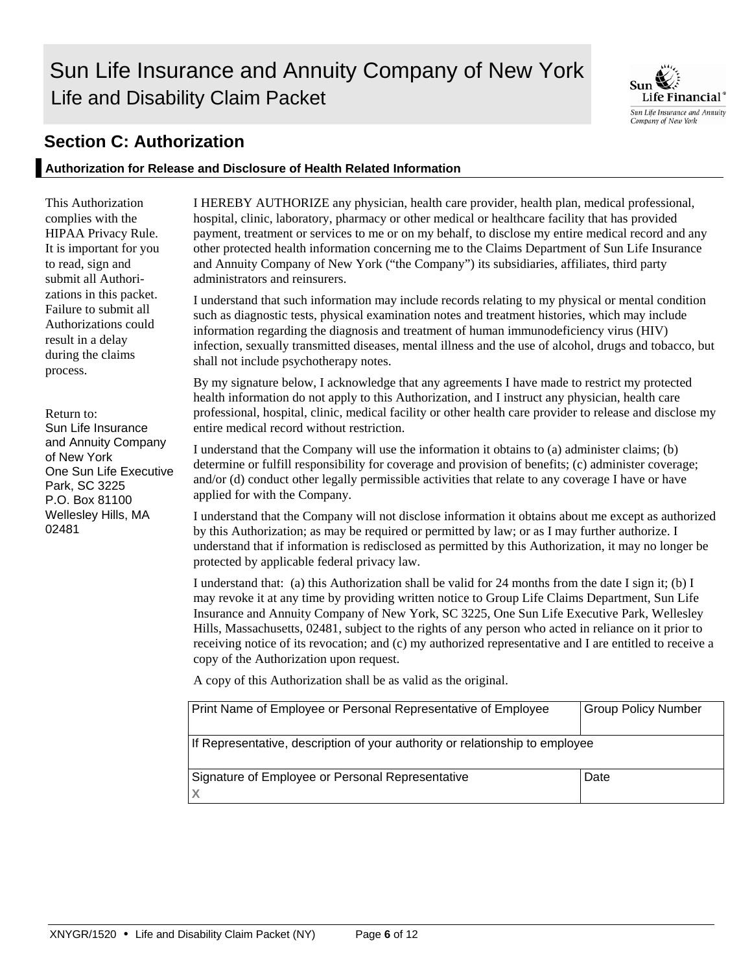# Sun Life Insurance and Annuity Company of New York Life and Disability Claim Packet



# **Section C: Authorization**

### **Authorization for Release and Disclosure of Health Related Information**

This Authorization complies with the HIPAA Privacy Rule. It is important for you to read, sign and submit all Authorizations in this packet. Failure to submit all Authorizations could result in a delay during the claims process.

#### Return to: Sun Life Insurance and Annuity Company of New York One Sun Life Executive Park, SC 3225 P.O. Box 81100 Wellesley Hills, MA 02481

I HEREBY AUTHORIZE any physician, health care provider, health plan, medical professional, hospital, clinic, laboratory, pharmacy or other medical or healthcare facility that has provided payment, treatment or services to me or on my behalf, to disclose my entire medical record and any other protected health information concerning me to the Claims Department of Sun Life Insurance and Annuity Company of New York ("the Company") its subsidiaries, affiliates, third party administrators and reinsurers.

I understand that such information may include records relating to my physical or mental condition such as diagnostic tests, physical examination notes and treatment histories, which may include information regarding the diagnosis and treatment of human immunodeficiency virus (HIV) infection, sexually transmitted diseases, mental illness and the use of alcohol, drugs and tobacco, but shall not include psychotherapy notes.

By my signature below, I acknowledge that any agreements I have made to restrict my protected health information do not apply to this Authorization, and I instruct any physician, health care professional, hospital, clinic, medical facility or other health care provider to release and disclose my entire medical record without restriction.

I understand that the Company will use the information it obtains to (a) administer claims; (b) determine or fulfill responsibility for coverage and provision of benefits; (c) administer coverage; and/or (d) conduct other legally permissible activities that relate to any coverage I have or have applied for with the Company.

I understand that the Company will not disclose information it obtains about me except as authorized by this Authorization; as may be required or permitted by law; or as I may further authorize. I understand that if information is redisclosed as permitted by this Authorization, it may no longer be protected by applicable federal privacy law.

I understand that: (a) this Authorization shall be valid for 24 months from the date I sign it; (b) I may revoke it at any time by providing written notice to Group Life Claims Department, Sun Life Insurance and Annuity Company of New York, SC 3225, One Sun Life Executive Park, Wellesley Hills, Massachusetts, 02481, subject to the rights of any person who acted in reliance on it prior to receiving notice of its revocation; and (c) my authorized representative and I are entitled to receive a copy of the Authorization upon request.

A copy of this Authorization shall be as valid as the original.

| Print Name of Employee or Personal Representative of Employee                | <b>Group Policy Number</b> |
|------------------------------------------------------------------------------|----------------------------|
| If Representative, description of your authority or relationship to employee |                            |
| Signature of Employee or Personal Representative                             | Date                       |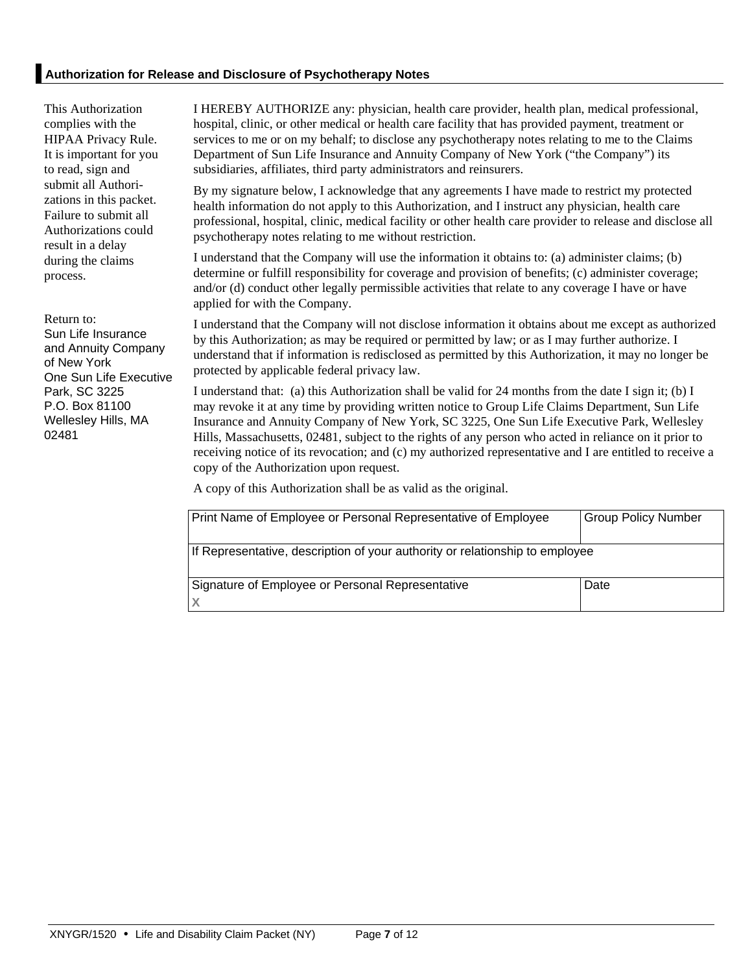This Authorization complies with the HIPAA Privacy Rule. It is important for you to read, sign and submit all Authorizations in this packet. Failure to submit all Authorizations could result in a delay during the claims process.

Return to: Sun Life Insurance and Annuity Company of New York One Sun Life Executive Park, SC 3225 P.O. Box 81100 Wellesley Hills, MA 02481

I HEREBY AUTHORIZE any: physician, health care provider, health plan, medical professional, hospital, clinic, or other medical or health care facility that has provided payment, treatment or services to me or on my behalf; to disclose any psychotherapy notes relating to me to the Claims Department of Sun Life Insurance and Annuity Company of New York ("the Company") its subsidiaries, affiliates, third party administrators and reinsurers.

By my signature below, I acknowledge that any agreements I have made to restrict my protected health information do not apply to this Authorization, and I instruct any physician, health care professional, hospital, clinic, medical facility or other health care provider to release and disclose all psychotherapy notes relating to me without restriction.

I understand that the Company will use the information it obtains to: (a) administer claims; (b) determine or fulfill responsibility for coverage and provision of benefits; (c) administer coverage; and/or (d) conduct other legally permissible activities that relate to any coverage I have or have applied for with the Company.

I understand that the Company will not disclose information it obtains about me except as authorized by this Authorization; as may be required or permitted by law; or as I may further authorize. I understand that if information is redisclosed as permitted by this Authorization, it may no longer be protected by applicable federal privacy law.

I understand that: (a) this Authorization shall be valid for 24 months from the date I sign it; (b) I may revoke it at any time by providing written notice to Group Life Claims Department, Sun Life Insurance and Annuity Company of New York, SC 3225, One Sun Life Executive Park, Wellesley Hills, Massachusetts, 02481, subject to the rights of any person who acted in reliance on it prior to receiving notice of its revocation; and (c) my authorized representative and I are entitled to receive a copy of the Authorization upon request.

A copy of this Authorization shall be as valid as the original.

| Print Name of Employee or Personal Representative of Employee                | <b>Group Policy Number</b> |
|------------------------------------------------------------------------------|----------------------------|
| If Representative, description of your authority or relationship to employee |                            |
| Signature of Employee or Personal Representative                             | Date                       |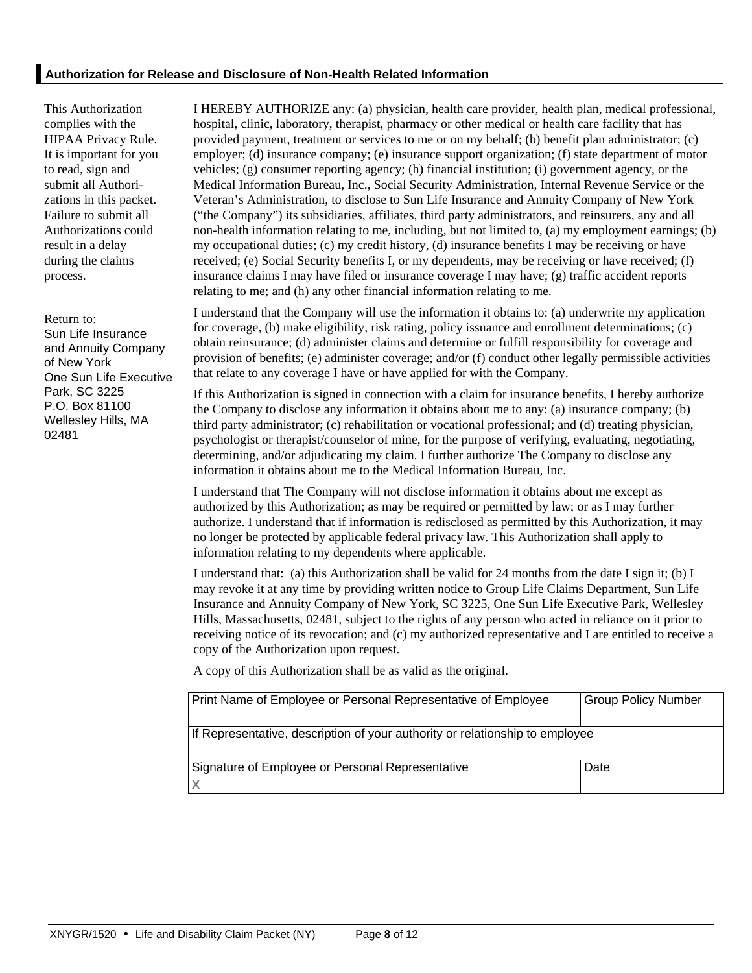This Authorization complies with the HIPAA Privacy Rule. It is important for you to read, sign and submit all Authorizations in this packet. Failure to submit all Authorizations could result in a delay during the claims process.

Return to: Sun Life Insurance and Annuity Company of New York One Sun Life Executive Park, SC 3225 P.O. Box 81100 Wellesley Hills, MA 02481

I HEREBY AUTHORIZE any: (a) physician, health care provider, health plan, medical professional, hospital, clinic, laboratory, therapist, pharmacy or other medical or health care facility that has provided payment, treatment or services to me or on my behalf; (b) benefit plan administrator; (c) employer; (d) insurance company; (e) insurance support organization; (f) state department of motor vehicles; (g) consumer reporting agency; (h) financial institution; (i) government agency, or the Medical Information Bureau, Inc., Social Security Administration, Internal Revenue Service or the Veteran's Administration, to disclose to Sun Life Insurance and Annuity Company of New York ("the Company") its subsidiaries, affiliates, third party administrators, and reinsurers, any and all non-health information relating to me, including, but not limited to, (a) my employment earnings; (b) my occupational duties; (c) my credit history, (d) insurance benefits I may be receiving or have received; (e) Social Security benefits I, or my dependents, may be receiving or have received; (f) insurance claims I may have filed or insurance coverage I may have; (g) traffic accident reports relating to me; and (h) any other financial information relating to me.

I understand that the Company will use the information it obtains to: (a) underwrite my application for coverage, (b) make eligibility, risk rating, policy issuance and enrollment determinations; (c) obtain reinsurance; (d) administer claims and determine or fulfill responsibility for coverage and provision of benefits; (e) administer coverage; and/or (f) conduct other legally permissible activities that relate to any coverage I have or have applied for with the Company.

If this Authorization is signed in connection with a claim for insurance benefits, I hereby authorize the Company to disclose any information it obtains about me to any: (a) insurance company; (b) third party administrator; (c) rehabilitation or vocational professional; and (d) treating physician, psychologist or therapist/counselor of mine, for the purpose of verifying, evaluating, negotiating, determining, and/or adjudicating my claim. I further authorize The Company to disclose any information it obtains about me to the Medical Information Bureau, Inc.

I understand that The Company will not disclose information it obtains about me except as authorized by this Authorization; as may be required or permitted by law; or as I may further authorize. I understand that if information is redisclosed as permitted by this Authorization, it may no longer be protected by applicable federal privacy law. This Authorization shall apply to information relating to my dependents where applicable.

I understand that: (a) this Authorization shall be valid for 24 months from the date I sign it; (b) I may revoke it at any time by providing written notice to Group Life Claims Department, Sun Life Insurance and Annuity Company of New York, SC 3225, One Sun Life Executive Park, Wellesley Hills, Massachusetts, 02481, subject to the rights of any person who acted in reliance on it prior to receiving notice of its revocation; and (c) my authorized representative and I are entitled to receive a copy of the Authorization upon request.

A copy of this Authorization shall be as valid as the original.

| Print Name of Employee or Personal Representative of Employee                | <b>Group Policy Number</b> |
|------------------------------------------------------------------------------|----------------------------|
|                                                                              |                            |
|                                                                              |                            |
| If Representative, description of your authority or relationship to employee |                            |
|                                                                              |                            |
|                                                                              |                            |
| Signature of Employee or Personal Representative                             | Date                       |
|                                                                              |                            |
|                                                                              |                            |
|                                                                              |                            |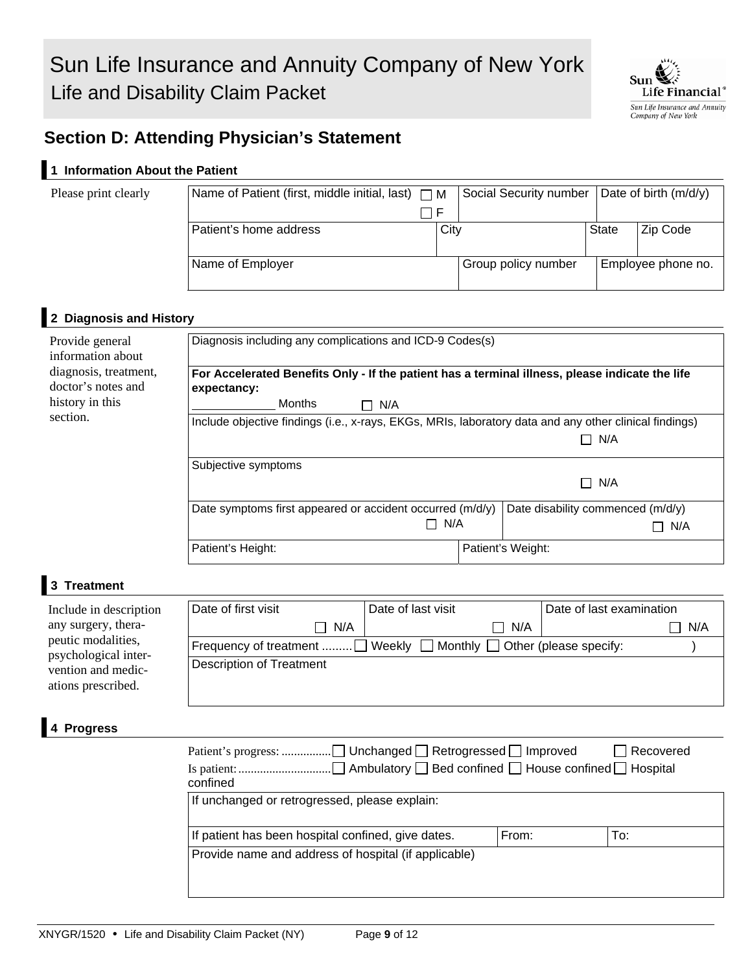

# **Section D: Attending Physician's Statement**

# **1 Information About the Patient**

#### Please print clearly

| Name of Patient (first, middle initial, last) $\Box M$ |      | Social Security number   Date of birth (m/d/y) |              |                    |
|--------------------------------------------------------|------|------------------------------------------------|--------------|--------------------|
|                                                        |      |                                                |              |                    |
| Patient's home address                                 | City |                                                | <b>State</b> | Zip Code           |
| Name of Employer                                       |      | Group policy number                            |              | Employee phone no. |
|                                                        |      |                                                |              |                    |

### **2 Diagnosis and History**

| Provide general<br>information about        | Diagnosis including any complications and ICD-9 Codes(s)                                                       |  |                                   |  |  |  |
|---------------------------------------------|----------------------------------------------------------------------------------------------------------------|--|-----------------------------------|--|--|--|
| diagnosis, treatment,<br>doctor's notes and | For Accelerated Benefits Only - If the patient has a terminal illness, please indicate the life<br>expectancy: |  |                                   |  |  |  |
| history in this                             | Months<br>$\Box$ N/A                                                                                           |  |                                   |  |  |  |
| section.                                    | Include objective findings (i.e., x-rays, EKGs, MRIs, laboratory data and any other clinical findings)         |  |                                   |  |  |  |
|                                             |                                                                                                                |  | N/A<br>П                          |  |  |  |
|                                             | Subjective symptoms                                                                                            |  |                                   |  |  |  |
|                                             |                                                                                                                |  | N/A<br>П                          |  |  |  |
|                                             | Date symptoms first appeared or accident occurred (m/d/y)                                                      |  | Date disability commenced (m/d/y) |  |  |  |
|                                             | N/A                                                                                                            |  | N/A                               |  |  |  |
|                                             | Patient's Height:                                                                                              |  | Patient's Weight:                 |  |  |  |

#### **3 Treatment**

| Include in description                     | Date of first visit                                                         | Date of last visit | Date of last examination |
|--------------------------------------------|-----------------------------------------------------------------------------|--------------------|--------------------------|
| any surgery, thera-                        | $\Box$ N/A                                                                  | N/A                | N/A                      |
| peutic modalities,<br>psychological inter- | Frequency of treatment  Weekly $\Box$ Monthly $\Box$ Other (please specify: |                    |                          |
| vention and medic-<br>ations prescribed.   | <b>Description of Treatment</b>                                             |                    |                          |

#### **4 Progress**

| confined                                             |       | Recovered |
|------------------------------------------------------|-------|-----------|
| If unchanged or retrogressed, please explain:        |       |           |
| If patient has been hospital confined, give dates.   | From: | To:       |
| Provide name and address of hospital (if applicable) |       |           |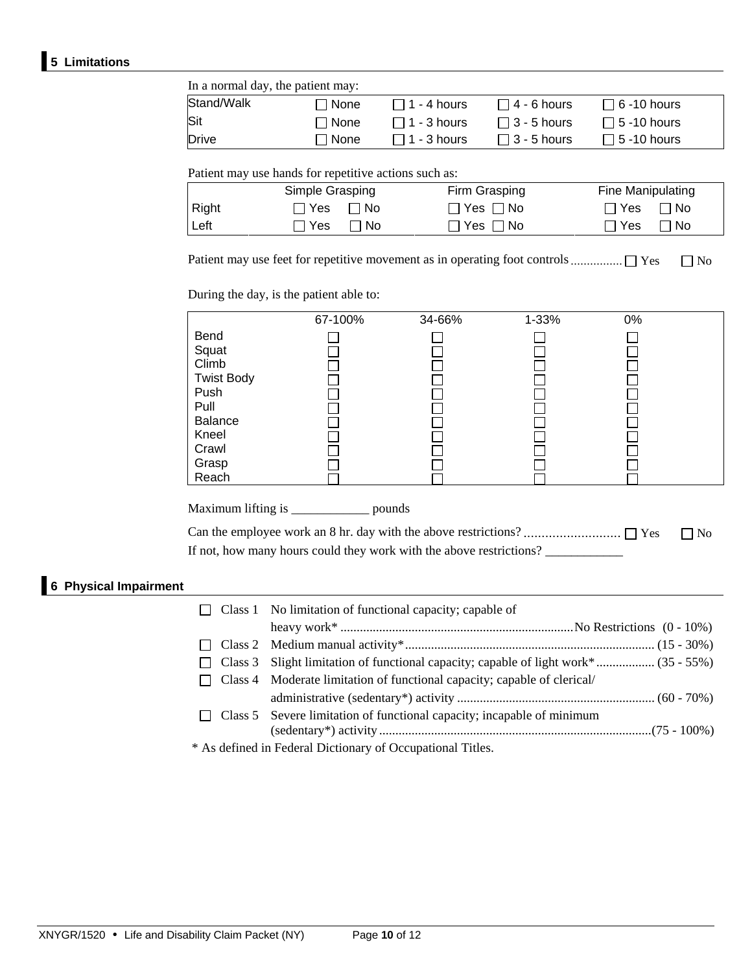### **5 Limitations**

| Stand/Walk    | $\Box$ None                                                              | $\Box$ 1 - 4 hours | $\Box$ 4 - 6 hours               | $\Box$ 6 -10 hours                                 |
|---------------|--------------------------------------------------------------------------|--------------------|----------------------------------|----------------------------------------------------|
| Sit           | $\Box$ None                                                              | $\Box$ 1 - 3 hours | $\Box$ 3 - 5 hours               | $\Box$ 5 -10 hours                                 |
| <b>Drive</b>  | $\Box$ None                                                              | $\Box$ 1 - 3 hours | $\Box$ 3 - 5 hours               | $\Box$ 5 -10 hours                                 |
|               | Patient may use hands for repetitive actions such as:<br>Simple Grasping |                    | Firm Grasping                    | Fine Manipulating                                  |
|               |                                                                          |                    |                                  |                                                    |
| Right<br>Left | Π Yes<br>$\Box$ No<br>$\Box$ No<br>Π Yes                                 |                    | $\Box$ Yes $\Box$ No<br>∩Yes ∩No | $\Box$ No<br>$\Box$ Yes<br>$\Box$ No<br>$\Box$ Yes |

During the day, is the patient able to:

|                   | 67-100% | 34-66% | 1-33% | 0% |  |
|-------------------|---------|--------|-------|----|--|
| Bend              |         |        |       |    |  |
| Squat             |         |        |       |    |  |
| Climb             |         |        |       |    |  |
| <b>Twist Body</b> |         |        |       |    |  |
| Push              |         |        |       |    |  |
| Pull              |         |        |       |    |  |
| Balance           |         |        |       |    |  |
| Kneel             |         |        |       |    |  |
| Crawl             |         |        |       |    |  |
| Grasp             |         |        |       |    |  |
| Reach             |         |        |       |    |  |

Maximum lifting is \_\_\_\_\_\_\_\_\_\_\_\_ pounds

 Can the employee work an 8 hr. day with the above restrictions? ........................... Yes No If not, how many hours could they work with the above restrictions?

## **6 Physical Impairment**

|              | $\Box$ Class 1 No limitation of functional capacity; capable of                     |
|--------------|-------------------------------------------------------------------------------------|
|              |                                                                                     |
| $\perp$      |                                                                                     |
| $\mathsf{L}$ | Class 3 Slight limitation of functional capacity; capable of light work* (35 - 55%) |
|              | Class 4 Moderate limitation of functional capacity; capable of clerical/            |
|              |                                                                                     |
|              | Class 5 Severe limitation of functional capacity; incapable of minimum              |
|              |                                                                                     |
|              | * As defined in Federal Dictionary of Occupational Titles.                          |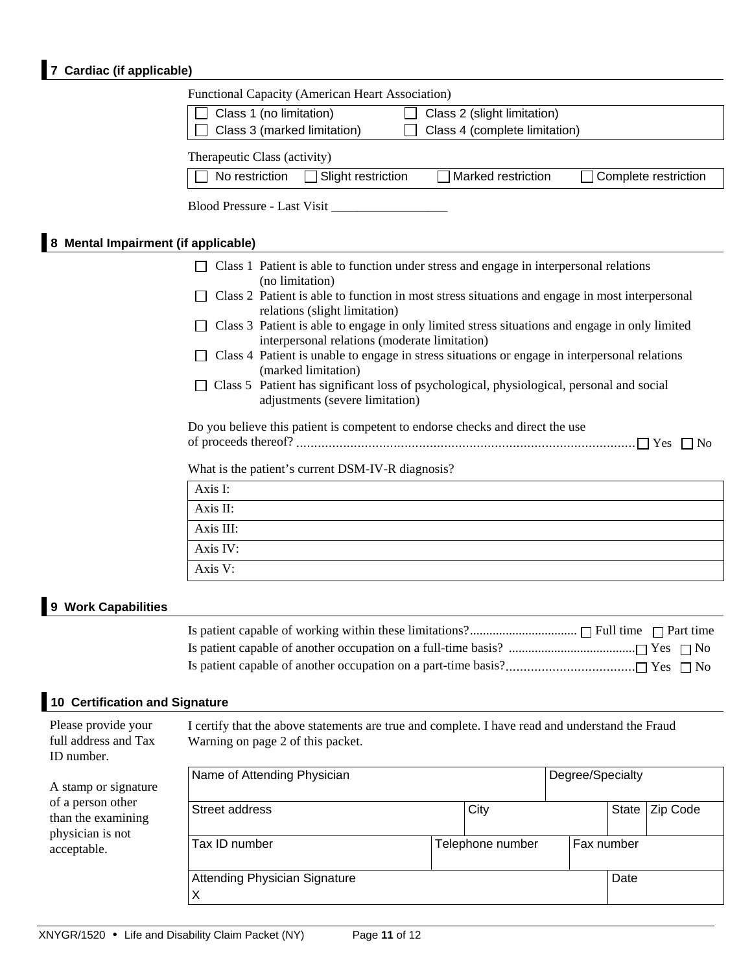# **7 Cardiac (if applicable)**

|                                                           | Functional Capacity (American Heart Association)                                                                                               |      |                               |                  |       |                      |
|-----------------------------------------------------------|------------------------------------------------------------------------------------------------------------------------------------------------|------|-------------------------------|------------------|-------|----------------------|
|                                                           | Class 1 (no limitation)                                                                                                                        |      | Class 2 (slight limitation)   |                  |       |                      |
|                                                           | Class 3 (marked limitation)                                                                                                                    |      | Class 4 (complete limitation) |                  |       |                      |
|                                                           | Therapeutic Class (activity)                                                                                                                   |      |                               |                  |       |                      |
|                                                           | No restriction<br>Slight restriction                                                                                                           |      | Marked restriction            |                  |       | Complete restriction |
|                                                           |                                                                                                                                                |      |                               |                  |       |                      |
|                                                           |                                                                                                                                                |      |                               |                  |       |                      |
| 8 Mental Impairment (if applicable)                       |                                                                                                                                                |      |                               |                  |       |                      |
|                                                           | Class 1 Patient is able to function under stress and engage in interpersonal relations<br>(no limitation)                                      |      |                               |                  |       |                      |
|                                                           | Class 2 Patient is able to function in most stress situations and engage in most interpersonal                                                 |      |                               |                  |       |                      |
|                                                           | relations (slight limitation)<br>Class 3 Patient is able to engage in only limited stress situations and engage in only limited                |      |                               |                  |       |                      |
|                                                           | interpersonal relations (moderate limitation)<br>Class 4 Patient is unable to engage in stress situations or engage in interpersonal relations |      |                               |                  |       |                      |
|                                                           | (marked limitation)                                                                                                                            |      |                               |                  |       |                      |
|                                                           | Class 5 Patient has significant loss of psychological, physiological, personal and social<br>adjustments (severe limitation)                   |      |                               |                  |       |                      |
|                                                           | Do you believe this patient is competent to endorse checks and direct the use                                                                  |      |                               |                  |       |                      |
|                                                           |                                                                                                                                                |      |                               |                  |       |                      |
|                                                           | What is the patient's current DSM-IV-R diagnosis?                                                                                              |      |                               |                  |       |                      |
|                                                           | Axis I:                                                                                                                                        |      |                               |                  |       |                      |
|                                                           | Axis II:                                                                                                                                       |      |                               |                  |       |                      |
|                                                           | Axis III:                                                                                                                                      |      |                               |                  |       |                      |
|                                                           | Axis IV:                                                                                                                                       |      |                               |                  |       |                      |
|                                                           | Axis V:                                                                                                                                        |      |                               |                  |       |                      |
| 9 Work Capabilities                                       |                                                                                                                                                |      |                               |                  |       |                      |
|                                                           |                                                                                                                                                |      |                               |                  |       |                      |
|                                                           |                                                                                                                                                |      |                               |                  |       |                      |
|                                                           |                                                                                                                                                |      |                               |                  |       |                      |
|                                                           |                                                                                                                                                |      |                               |                  |       |                      |
| <b>10 Certification and Signature</b>                     |                                                                                                                                                |      |                               |                  |       |                      |
| Please provide your<br>full address and Tax<br>ID number. | I certify that the above statements are true and complete. I have read and understand the Fraud<br>Warning on page 2 of this packet.           |      |                               |                  |       |                      |
|                                                           | Name of Attending Physician                                                                                                                    |      |                               | Degree/Specialty |       |                      |
| A stamp or signature<br>of a person other                 |                                                                                                                                                |      |                               |                  |       |                      |
| than the examining                                        | Street address                                                                                                                                 |      | City                          |                  | State | Zip Code             |
| physician is not<br>acceptable.                           | Tax ID number                                                                                                                                  |      | Telephone number              | Fax number       |       |                      |
|                                                           |                                                                                                                                                |      |                               |                  |       |                      |
|                                                           | Attending Physician Signature<br>X                                                                                                             | Date |                               |                  |       |                      |
|                                                           |                                                                                                                                                |      |                               |                  |       |                      |